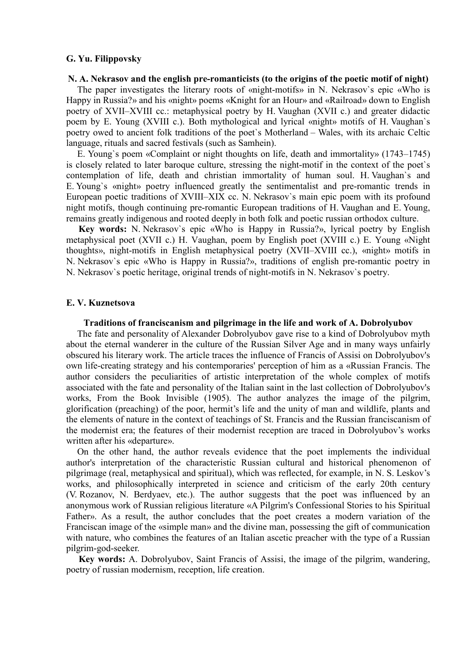# **G. Yu. Filippovsky**

#### **N. A. Nekrasov and the english pre-romanticists (to the origins of the poetic motif of night)**

The paper investigates the literary roots of «night-motifs» in N. Nekrasov`s epic «Who is Happy in Russia?» and his «night» poems «Knight for an Hour» and «Railroad» down to English poetry of XVII–XVIII cc.: metaphysical poetry by H. Vaughan (XVII c.) and greater didactic poem by E. Young (XVIII c.). Both mythological and lyrical «night» motifs of H. Vaughan`s poetry owed to ancient folk traditions of the poet`s Motherland – Wales, with its archaic Celtic language, rituals and sacred festivals (such as Samhein).

E. Young`s poem «Complaint or night thoughts on life, death and immortality» (1743–1745) is closely related to later baroque culture, stressing the night-motif in the context of the poet`s contemplation of life, death and christian immortality of human soul. H. Vaughan`s and E. Young`s «night» poetry influenced greatly the sentimentalist and pre-romantic trends in European poetic traditions of XVIII–XIX cc. N. Nekrasov`s main epic poem with its profound night motifs, though continuing pre-romantic European traditions of H. Vaughan and E. Young, remains greatly indigenous and rooted deeply in both folk and poetic russian orthodox culture.

**Key words:** N. Nekrasov`s epic «Who is Happy in Russia?», lyrical poetry by English metaphysical poet (XVII c.) H. Vaughan, poem by English poet (XVIII c.) E. Young «Night thoughts», night-motifs in English metaphysical poetry (XVII–XVIII cc.), «night» motifs in N. Nekrasov`s epic «Who is Happy in Russia?», traditions of english pre-romantic poetry in N. Nekrasov`s poetic heritage, original trends of night-motifs in N. Nekrasov`s poetry.

### **E. V. Kuznetsova**

#### **Traditions of franciscanism and pilgrimage in the life and work of A. Dobrolyubov**

The fate and personality of Alexander Dobrolyubov gave rise to a kind of Dobrolyubov myth about the eternal wanderer in the culture of the Russian Silver Age and in many ways unfairly obscured his literary work. The article traces the influence of Francis of Assisi on Dobrolyubov's own life-creating strategy and his contemporaries' perception of him as a «Russian Francis. The author considers the peculiarities of artistic interpretation of the whole complex of motifs associated with the fate and personality of the Italian saint in the last collection of Dobrolyubov's works, From the Book Invisible (1905). The author analyzes the image of the pilgrim, glorification (preaching) of the poor, hermit's life and the unity of man and wildlife, plants and the elements of nature in the context of teachings of St. Francis and the Russian franciscanism of the modernist era; the features of their modernist reception are traced in Dobrolyubov's works written after his «departure».

On the other hand, the author reveals evidence that the poet implements the individual author's interpretation of the characteristic Russian cultural and historical phenomenon of pilgrimage (real, metaphysical and spiritual), which was reflected, for example, in N. S. Leskov's works, and philosophically interpreted in science and criticism of the early 20th century (V. Rozanov, N. Berdyaev, etc.). The author suggests that the poet was influenced by an anonymous work of Russian religious literature «A Pilgrim's Confessional Stories to his Spiritual Father». As a result, the author concludes that the poet creates a modern variation of the Franciscan image of the «simple man» and the divine man, possessing the gift of communication with nature, who combines the features of an Italian ascetic preacher with the type of a Russian pilgrim-god-seeker.

**Key words:** A. Dobrolyubov, Saint Francis of Assisi, the image of the pilgrim, wandering, poetry of russian modernism, reception, life creation.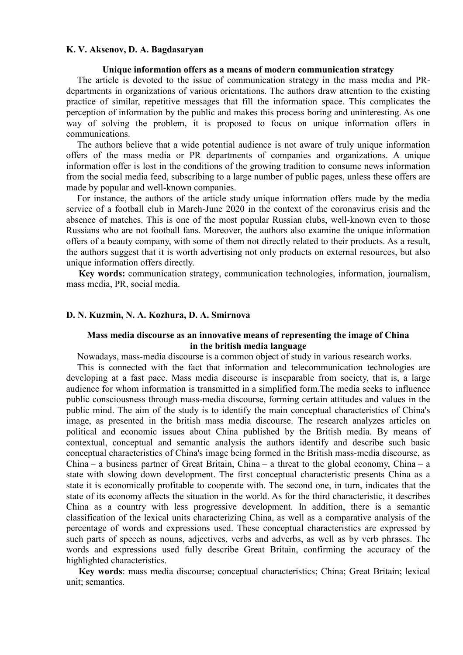### **K. V. Aksenov, D. A. Bagdasaryan**

#### **Unique information offers as a means of modern communication strategy**

The article is devoted to the issue of communication strategy in the mass media and PRdepartments in organizations of various orientations. The authors draw attention to the existing practice of similar, repetitive messages that fill the information space. This complicates the perception of information by the public and makes this process boring and uninteresting. As one way of solving the problem, it is proposed to focus on unique information offers in communications.

The authors believe that a wide potential audience is not aware of truly unique information offers of the mass media or PR departments of companies and organizations. A unique information offer is lost in the conditions of the growing tradition to consume news information from the social media feed, subscribing to a large number of public pages, unless these offers are made by popular and well-known companies.

For instance, the authors of the article study unique information offers made by the media service of a football club in March-June 2020 in the context of the coronavirus crisis and the absence of matches. This is one of the most popular Russian clubs, well-known even to those Russians who are not football fans. Moreover, the authors also examine the unique information offers of a beauty company, with some of them not directly related to their products. As a result, the authors suggest that it is worth advertising not only products on external resources, but also unique information offers directly.

**Key words:** communication strategy, communication technologies, information, journalism, mass media, PR, social media.

#### **D. N. Kuzmin, N. A. Kozhura, D. A. Smirnova**

# **Mass media discourse as an innovative means of representing the image of China in the british media language**

Nowadays, mass-media discourse is a common object of study in various research works.

This is connected with the fact that information and telecommunication technologies are developing at a fast pace. Mass media discourse is inseparable from society, that is, a large audience for whom information is transmitted in a simplified form.The media seeks to influence public consciousness through mass-media discourse, forming certain attitudes and values in the public mind. The aim of the study is to identify the main conceptual characteristics of China's image, as presented in the british mass media discourse. The research analyzes articles on political and economic issues about China published by the British media. By means of contextual, conceptual and semantic analysis the authors identify and describe such basic conceptual characteristics of China's image being formed in the British mass-media discourse, as China – a business partner of Great Britain, China – a threat to the global economy, China – a state with slowing down development. The first conceptual characteristic presents China as a state it is economically profitable to cooperate with. The second one, in turn, indicates that the state of its economy affects the situation in the world. As for the third characteristic, it describes China as a country with less progressive development. In addition, there is a semantic classification of the lexical units characterizing China, as well as a comparative analysis of the percentage of words and expressions used. These conceptual characteristics are expressed by such parts of speech as nouns, adjectives, verbs and adverbs, as well as by verb phrases. The words and expressions used fully describe Great Britain, confirming the accuracy of the highlighted characteristics.

**Key words**: mass media discourse; conceptual characteristics; China; Great Britain; lexical unit; semantics.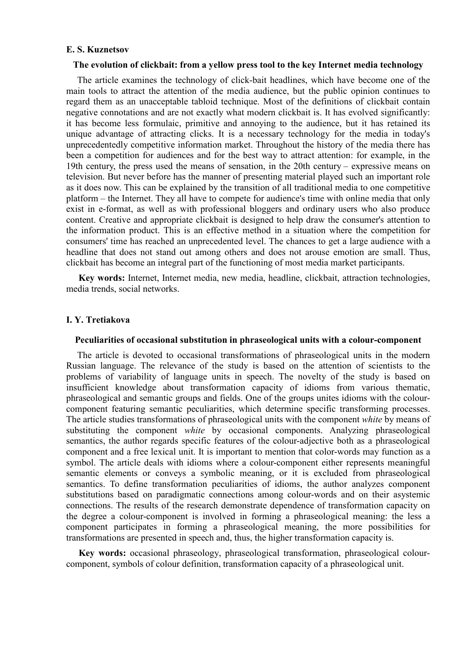### **E. S. Kuznetsov**

### **The evolution of clickbait: from a yellow press tool to the key Internet media technology**

The article examines the technology of click-bait headlines, which have become one of the main tools to attract the attention of the media audience, but the public opinion continues to regard them as an unacceptable tabloid technique. Most of the definitions of clickbait contain negative connotations and are not exactly what modern clickbait is. It has evolved significantly: it has become less formulaic, primitive and annoying to the audience, but it has retained its unique advantage of attracting clicks. It is a necessary technology for the media in today's unprecedentedly competitive information market. Throughout the history of the media there has been a competition for audiences and for the best way to attract attention: for example, in the 19th century, the press used the means of sensation, in the 20th century – expressive means on television. But never before has the manner of presenting material played such an important role as it does now. This can be explained by the transition of all traditional media to one competitive platform – the Internet. They all have to compete for audience's time with online media that only exist in e-format, as well as with professional bloggers and ordinary users who also produce content. Creative and appropriate clickbait is designed to help draw the consumer's attention to the information product. This is an effective method in a situation where the competition for consumers' time has reached an unprecedented level. The chances to get a large audience with a headline that does not stand out among others and does not arouse emotion are small. Thus, clickbait has become an integral part of the functioning of most media market participants.

**Key words:** Internet, Internet media, new media, headline, clickbait, attraction technologies, media trends, social networks.

# **I. Y. Tretiakova**

#### **Peculiarities of occasional substitution in phraseological units with a colour-component**

The article is devoted to occasional transformations of phraseological units in the modern Russian language. The relevance of the study is based on the attention of scientists to the problems of variability of language units in speech. The novelty of the study is based on insufficient knowledge about transformation capacity of idioms from various thematic, phraseological and semantic groups and fields. One of the groups unites idioms with the colourcomponent featuring semantic peculiarities, which determine specific transforming processes. The article studies transformations of phraseological units with the component *white* by means of substituting the component *white* by occasional components. Analyzing phraseological semantics, the author regards specific features of the colour-adjective both as a phraseological component and a free lexical unit. It is important to mention that color-words may function as a symbol. The article deals with idioms where a colour-component either represents meaningful semantic elements or conveys a symbolic meaning, or it is excluded from phraseological semantics. To define transformation peculiarities of idioms, the author analyzes component substitutions based on paradigmatic connections among colour-words and on their asystemic connections. The results of the research demonstrate dependence of transformation capacity on the degree a colour-component is involved in forming a phraseological meaning: the less a component participates in forming a phraseological meaning, the more possibilities for transformations are presented in speech and, thus, the higher transformation capacity is.

**Key words:** occasional phraseology, phraseological transformation, phraseological colourcomponent, symbols of colour definition, transformation capacity of a phraseological unit.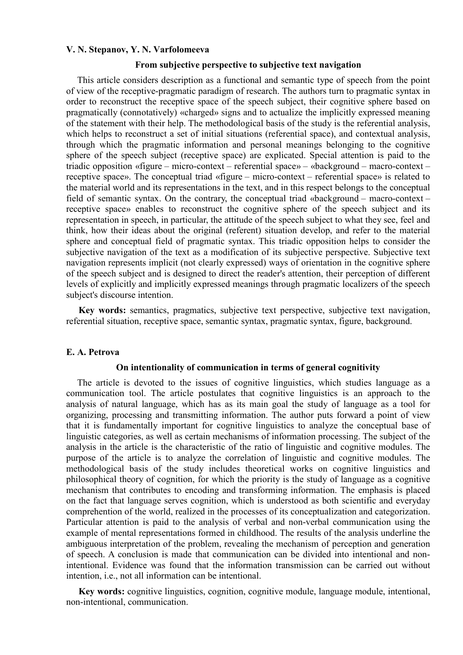#### **V. N. Stepanov, Y. N. Varfolomeeva**

#### **From subjective perspective to subjective text navigation**

This article considers description as a functional and semantic type of speech from the point of view of the receptive-pragmatic paradigm of research. The authors turn to pragmatic syntax in order to reconstruct the receptive space of the speech subject, their cognitive sphere based on pragmatically (connotatively) «charged» signs and to actualize the implicitly expressed meaning of the statement with their help. The methodological basis of the study is the referential analysis, which helps to reconstruct a set of initial situations (referential space), and contextual analysis, through which the pragmatic information and personal meanings belonging to the cognitive sphere of the speech subject (receptive space) are explicated. Special attention is paid to the triadic opposition «figure – micro-context – referential space» – «background – macro-context – receptive space». The conceptual triad «figure – micro-context – referential space» is related to the material world and its representations in the text, and in this respect belongs to the conceptual field of semantic syntax. On the contrary, the conceptual triad «background – macro-context – receptive space» enables to reconstruct the cognitive sphere of the speech subject and its representation in speech, in particular, the attitude of the speech subject to what they see, feel and think, how their ideas about the original (referent) situation develop, and refer to the material sphere and conceptual field of pragmatic syntax. This triadic opposition helps to consider the subjective navigation of the text as a modification of its subjective perspective. Subjective text navigation represents implicit (not clearly expressed) ways of orientation in the cognitive sphere of the speech subject and is designed to direct the reader's attention, their perception of different levels of explicitly and implicitly expressed meanings through pragmatic localizers of the speech subject's discourse intention.

**Key words:** semantics, pragmatics, subjective text perspective, subjective text navigation, referential situation, receptive space, semantic syntax, pragmatic syntax, figure, background.

# **E. A. Petrova**

#### **On intentionality of communication in terms of general cognitivity**

The article is devoted to the issues of cognitive linguistics, which studies language as a communication tool. The article postulates that cognitive linguistics is an approach to the analysis of natural language, which has as its main goal the study of language as a tool for organizing, processing and transmitting information. The author puts forward a point of view that it is fundamentally important for cognitive linguistics to analyze the conceptual base of linguistic categories, as well as certain mechanisms of information processing. The subject of the analysis in the article is the characteristic of the ratio of linguistic and cognitive modules. The purpose of the article is to analyze the correlation of linguistic and cognitive modules. The methodological basis of the study includes theoretical works on cognitive linguistics and philosophical theory of cognition, for which the priority is the study of language as a cognitive mechanism that contributes to encoding and transforming information. The emphasis is placed on the fact that language serves cognition, which is understood as both scientific and everyday comprehention of the world, realized in the processes of its conceptualization and categorization. Particular attention is paid to the analysis of verbal and non-verbal communication using the example of mental representations formed in childhood. The results of the analysis underline the ambiguous interpretation of the problem, revealing the mechanism of perception and generation of speech. A conclusion is made that communication can be divided into intentional and nonintentional. Evidence was found that the information transmission can be carried out without intention, i.e., not all information can be intentional.

**Key words:** cognitive linguistics, cognition, cognitive module, language module, intentional, non-intentional, communication.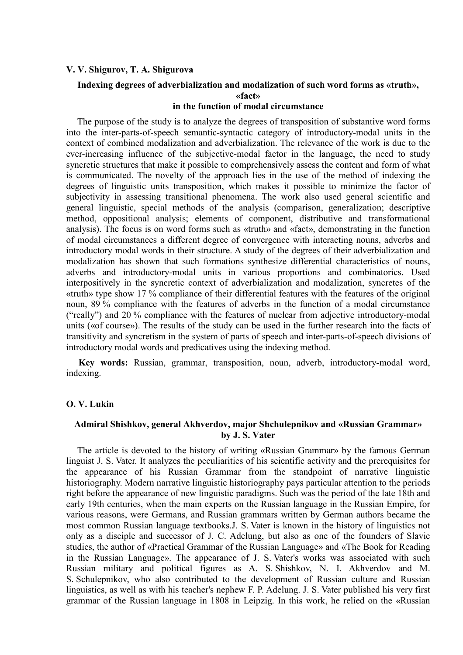# **V. V. Shigurov, T. A. Shigurova**

# **Indexing degrees of adverbialization and modalization of such word forms as «truth», «fact»**

# **in the function of modal circumstance**

The purpose of the study is to analyze the degrees of transposition of substantive word forms into the inter-parts-of-speech semantic-syntactic category of introductory-modal units in the context of combined modalization and adverbialization. The relevance of the work is due to the ever-increasing influence of the subjective-modal factor in the language, the need to study syncretic structures that make it possible to comprehensively assess the content and form of what is communicated. The novelty of the approach lies in the use of the method of indexing the degrees of linguistic units transposition, which makes it possible to minimize the factor of subjectivity in assessing transitional phenomena. The work also used general scientific and general linguistic, special methods of the analysis (comparison, generalization; descriptive method, oppositional analysis; elements of component, distributive and transformational analysis). The focus is on word forms such as «truth» and «fact», demonstrating in the function of modal circumstances a different degree of convergence with interacting nouns, adverbs and introductory modal words in their structure. A study of the degrees of their adverbialization and modalization has shown that such formations synthesize differential characteristics of nouns, adverbs and introductory-modal units in various proportions and combinatorics. Used interpositively in the syncretic context of adverbialization and modalization, syncretes of the «truth» type show 17 % compliance of their differential features with the features of the original noun, 89 % compliance with the features of adverbs in the function of a modal circumstance ("really") and 20 % compliance with the features of nuclear from adjective introductory-modal units («of course»). The results of the study can be used in the further research into the facts of transitivity and syncretism in the system of parts of speech and inter-parts-of-speech divisions of introductory modal words and predicatives using the indexing method.

**Key words:** Russian, grammar, transposition, noun, adverb, introductory-modal word, indexing.

# **O. V. Lukin**

# **Admiral Shishkov, general Akhverdov, major Shchulepnikov and «Russian Grammar» by J. S. Vater**

The article is devoted to the history of writing «Russian Grammar» by the famous German linguist J. S. Vater. It analyzes the peculiarities of his scientific activity and the prerequisites for the appearance of his Russian Grammar from the standpoint of narrative linguistic historiography. Modern narrative linguistic historiography pays particular attention to the periods right before the appearance of new linguistic paradigms. Such was the period of the late 18th and early 19th centuries, when the main experts on the Russian language in the Russian Empire, for various reasons, were Germans, and Russian grammars written by German authors became the most common Russian language textbooks.J. S. Vater is known in the history of linguistics not only as a disciple and successor of J. C. Adelung, but also as one of the founders of Slavic studies, the author of «Practical Grammar of the Russian Language» and «The Book for Reading in the Russian Language». The appearance of J. S. Vater's works was associated with such Russian military and political figures as A. S. Shishkov, N. I. Akhverdov and M. S. Schulepnikov, who also contributed to the development of Russian culture and Russian linguistics, as well as with his teacher's nephew F. P. Adelung. J. S. Vater published his very first grammar of the Russian language in 1808 in Leipzig. In this work, he relied on the «Russian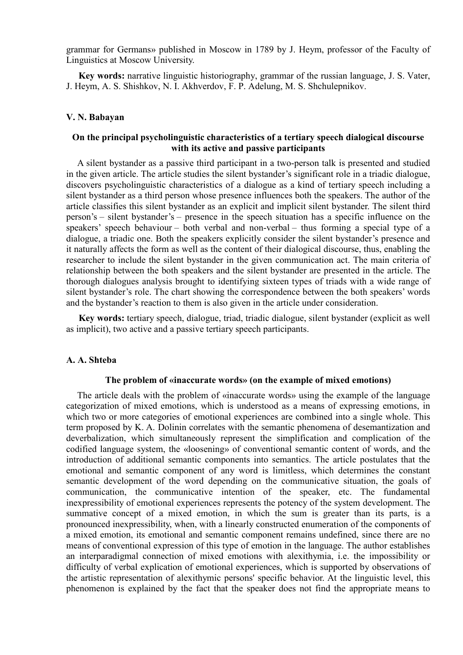grammar for Germans» published in Moscow in 1789 by J. Heym, professor of the Faculty of Linguistics at Moscow University.

**Key words:** narrative linguistic historiography, grammar of the russian language, J. S. Vater, J. Heym, A. S. Shishkov, N. I. Akhverdov, F. P. Adelung, M. S. Shchulepnikov.

# **V. N. Babayan**

# **On the principal psycholinguistic characteristics of a tertiary speech dialogical discourse with its active and passive participants**

A silent bystander as a passive third participant in a two-person talk is presented and studied in the given article. The article studies the silent bystander's significant role in a triadic dialogue, discovers psycholinguistic characteristics of a dialogue as a kind of tertiary speech including a silent bystander as a third person whose presence influences both the speakers. The author of the article classifies this silent bystander as an explicit and implicit silent bystander. The silent third person's – silent bystander's – presence in the speech situation has a specific influence on the speakers' speech behaviour – both verbal and non-verbal – thus forming a special type of a dialogue, a triadic one. Both the speakers explicitly consider the silent bystander's presence and it naturally affects the form as well as the content of their dialogical discourse, thus, enabling the researcher to include the silent bystander in the given communication act. The main criteria of relationship between the both speakers and the silent bystander are presented in the article. The thorough dialogues analysis brought to identifying sixteen types of triads with a wide range of silent bystander's role. The chart showing the correspondence between the both speakers' words and the bystander's reaction to them is also given in the article under consideration.

**Key words:** tertiary speech, dialogue, triad, triadic dialogue, silent bystander (explicit as well as implicit), two active and a passive tertiary speech participants.

# **A. A. Shteba**

#### **The problem of «inaccurate words» (on the example of mixed emotions)**

The article deals with the problem of «inaccurate words» using the example of the language categorization of mixed emotions, which is understood as a means of expressing emotions, in which two or more categories of emotional experiences are combined into a single whole. This term proposed by K. A. Dolinin correlates with the semantic phenomena of desemantization and deverbalization, which simultaneously represent the simplification and complication of the codified language system, the «loosening» of conventional semantic content of words, and the introduction of additional semantic components into semantics. The article postulates that the emotional and semantic component of any word is limitless, which determines the constant semantic development of the word depending on the communicative situation, the goals of communication, the communicative intention of the speaker, etc. The fundamental inexpressibility of emotional experiences represents the potency of the system development. The summative concept of a mixed emotion, in which the sum is greater than its parts, is a pronounced inexpressibility, when, with a linearly constructed enumeration of the components of a mixed emotion, its emotional and semantic component remains undefined, since there are no means of conventional expression of this type of emotion in the language. The author establishes an interparadigmal connection of mixed emotions with alexithymia, i.e. the impossibility or difficulty of verbal explication of emotional experiences, which is supported by observations of the artistic representation of alexithymic persons' specific behavior. At the linguistic level, this phenomenon is explained by the fact that the speaker does not find the appropriate means to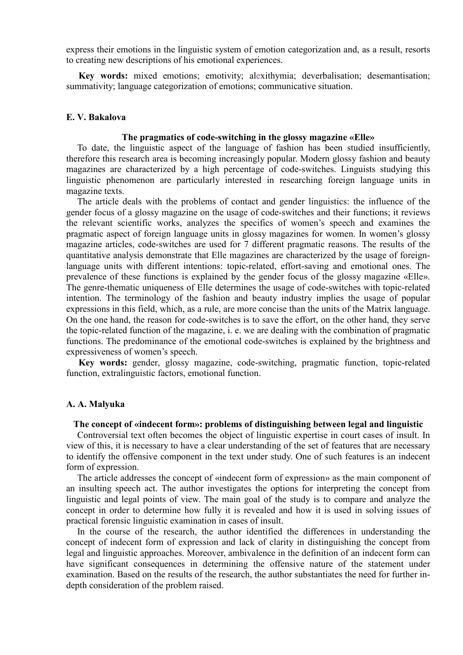express their emotions in the linguistic system of emotion categorization and, as a result, resorts to creating new descriptions of his emotional experiences.

**Key words:** mixed emotions; emotivity; alexithymia; deverbalisation; desemantisation; summativity; language categorization of emotions; communicative situation.

# **E. V. Bakalova**

#### **The pragmatics of code-switching in the glossy magazine «Elle»**

To date, the linguistic aspect of the language of fashion has been studied insufficiently, therefore this research area is becoming increasingly popular. Modern glossy fashion and beauty magazines are characterized by a high percentage of code-switches. Linguists studying this linguistic phenomenon are particularly interested in researching foreign language units in magazine texts.

The article deals with the problems of contact and gender linguistics: the influence of the gender focus of a glossy magazine on the usage of code-switches and their functions; it reviews the relevant scientific works, analyzes the specifics of women's speech and examines the pragmatic aspect of foreign language units in glossy magazines for women. In women's glossy magazine articles, code-switches are used for 7 different pragmatic reasons. The results of the quantitative analysis demonstrate that Elle magazines are characterized by the usage of foreignlanguage units with different intentions: topic-related, effort-saving and emotional ones. The prevalence of these functions is explained by the gender focus of the glossy magazine «Elle». The genre-thematic uniqueness of Elle determines the usage of code-switches with topic-related intention. The terminology of the fashion and beauty industry implies the usage of popular expressions in this field, which, as a rule, are more concise than the units of the Matrix language. On the one hand, the reason for code-switches is to save the effort, on the other hand, they serve the topic-related function of the magazine, i. e. we are dealing with the combination of pragmatic functions. The predominance of the emotional code-switches is explained by the brightness and expressiveness of women's speech.

**Key words:** gender, glossy magazine, code-switching, pragmatic function, topic-related function, extralinguistic factors, emotional function.

# **A. A. Malyuka**

# **The concept of «indecent form»: problems of distinguishing between legal and linguistic**

Controversial text often becomes the object of linguistic expertise in court cases of insult. In view of this, it is necessary to have a clear understanding of the set of features that are necessary to identify the offensive component in the text under study. One of such features is an indecent form of expression.

The article addresses the concept of «indecent form of expression» as the main component of an insulting speech act. The author investigates the options for interpreting the concept from linguistic and legal points of view. The main goal of the study is to compare and analyze the concept in order to determine how fully it is revealed and how it is used in solving issues of practical forensic linguistic examination in cases of insult.

In the course of the research, the author identified the differences in understanding the concept of indecent form of expression and lack of clarity in distinguishing the concept from legal and linguistic approaches. Moreover, ambivalence in the definition of an indecent form can have significant consequences in determining the offensive nature of the statement under examination. Based on the results of the research, the author substantiates the need for further indepth consideration of the problem raised.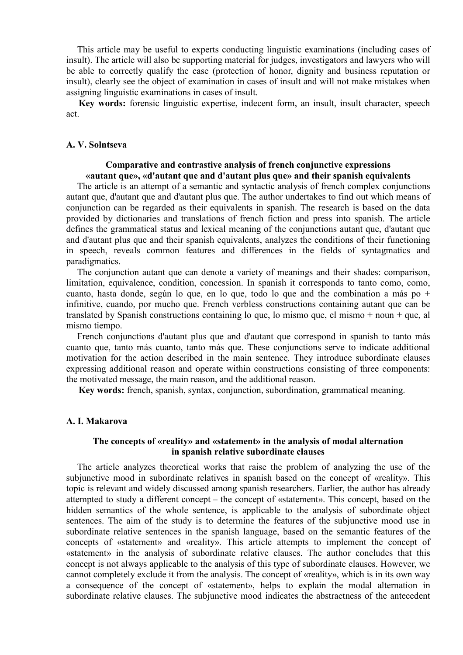This article may be useful to experts conducting linguistic examinations (including cases of insult). The article will also be supporting material for judges, investigators and lawyers who will be able to correctly qualify the case (protection of honor, dignity and business reputation or insult), clearly see the object of examination in cases of insult and will not make mistakes when assigning linguistic examinations in cases of insult.

**Key words:** forensic linguistic expertise, indecent form, an insult, insult character, speech act.

#### **A. V. Solntseva**

#### **Comparative and contrastive analysis of french conjunctive expressions «autant que», «d'autant que and d'autant plus que» and their spanish equivalents**

The article is an attempt of a semantic and syntactic analysis of french complex conjunctions autant que, d'autant que and d'autant plus que. The author undertakes to find out which means of conjunction can be regarded as their equivalents in spanish. The research is based on the data provided by dictionaries and translations of french fiction and press into spanish. The article defines the grammatical status and lexical meaning of the conjunctions autant que, d'autant que and d'autant plus que and their spanish equivalents, analyzes the conditions of their functioning in speech, reveals common features and differences in the fields of syntagmatics and paradigmatics.

The conjunction autant que can denote a variety of meanings and their shades: comparison, limitation, equivalence, condition, concession. In spanish it corresponds to tanto como, como, cuanto, hasta donde, según lo que, en lo que, todo lo que and the combination a más po + infinitive, cuando, por mucho que. French verbless constructions containing autant que can be translated by Spanish constructions containing lo que, lo mismo que, el mismo + noun + que, al mismo tiempo.

French conjunctions d'autant plus que and d'autant que correspond in spanish to tanto más cuanto que, tanto más cuanto, tanto más que. These conjunctions serve to indicate additional motivation for the action described in the main sentence. They introduce subordinate clauses expressing additional reason and operate within constructions consisting of three components: the motivated message, the main reason, and the additional reason.

**Key words:** french, spanish, syntax, conjunction, subordination, grammatical meaning.

### **A. I. Makarova**

# **The concepts of «reality» and «statement» in the analysis of modal alternation in spanish relative subordinate clauses**

The article analyzes theoretical works that raise the problem of analyzing the use of the subjunctive mood in subordinate relatives in spanish based on the concept of «reality». This topic is relevant and widely discussed among spanish researchers. Earlier, the author has already attempted to study a different concept – the concept of «statement». This concept, based on the hidden semantics of the whole sentence, is applicable to the analysis of subordinate object sentences. The aim of the study is to determine the features of the subjunctive mood use in subordinate relative sentences in the spanish language, based on the semantic features of the concepts of «statement» and «reality». This article attempts to implement the concept of «statement» in the analysis of subordinate relative clauses. The author concludes that this concept is not always applicable to the analysis of this type of subordinate clauses. However, we cannot completely exclude it from the analysis. The concept of «reality», which is in its own way a consequence of the concept of «statement», helps to explain the modal alternation in subordinate relative clauses. The subjunctive mood indicates the abstractness of the antecedent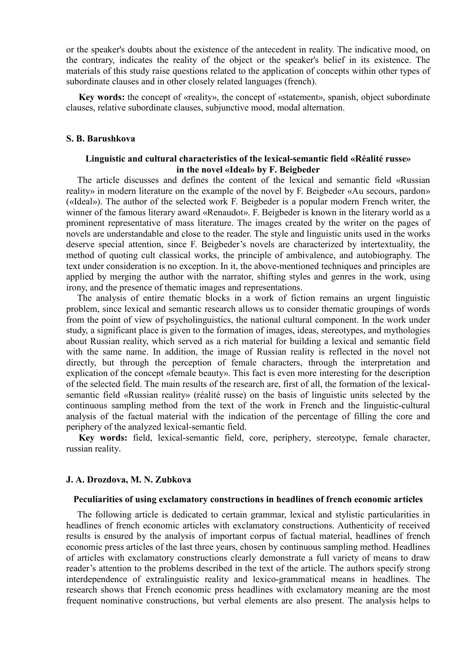or the speaker's doubts about the existence of the antecedent in reality. The indicative mood, on the contrary, indicates the reality of the object or the speaker's belief in its existence. The materials of this study raise questions related to the application of concepts within other types of subordinate clauses and in other closely related languages (french).

**Key words:** the concept of «reality», the concept of «statement», spanish, object subordinate clauses, relative subordinate clauses, subjunctive mood, modal alternation.

#### **S. B. Barushkova**

# **Linguistic and cultural characteristics of the lexical-semantic field «Réalité russe» in the novel «Ideal» by F. Beigbeder**

The article discusses and defines the content of the lexical and semantic field «Russian reality» in modern literature on the example of the novel by F. Beigbeder «Au secours, pardon» («Ideal»). The author of the selected work F. Beigbeder is a popular modern French writer, the winner of the famous literary award «Renaudot». F. Beigbeder is known in the literary world as a prominent representative of mass literature. The images created by the writer on the pages of novels are understandable and close to the reader. The style and linguistic units used in the works deserve special attention, since F. Beigbeder's novels are characterized by intertextuality, the method of quoting cult classical works, the principle of ambivalence, and autobiography. The text under consideration is no exception. In it, the above-mentioned techniques and principles are applied by merging the author with the narrator, shifting styles and genres in the work, using irony, and the presence of thematic images and representations.

The analysis of entire thematic blocks in a work of fiction remains an urgent linguistic problem, since lexical and semantic research allows us to consider thematic groupings of words from the point of view of psycholinguistics, the national cultural component. In the work under study, a significant place is given to the formation of images, ideas, stereotypes, and mythologies about Russian reality, which served as a rich material for building a lexical and semantic field with the same name. In addition, the image of Russian reality is reflected in the novel not directly, but through the perception of female characters, through the interpretation and explication of the concept «female beauty». This fact is even more interesting for the description of the selected field. The main results of the research are, first of all, the formation of the lexicalsemantic field «Russian reality» (réalité russe) on the basis of linguistic units selected by the continuous sampling method from the text of the work in French and the linguistic-cultural analysis of the factual material with the indication of the percentage of filling the core and periphery of the analyzed lexical-semantic field.

**Key words:** field, lexical-semantic field, core, periphery, stereotype, female character, russian reality.

#### **J. A. Drozdova, M. N. Zubkova**

#### **Peculiarities of using exclamatory constructions in headlines of french economic articles**

The following article is dedicated to certain grammar, lexical and stylistic particularities in headlines of french economic articles with exclamatory constructions. Authenticity of received results is ensured by the analysis of important corpus of factual material, headlines of french economic press articles of the last three years, chosen by continuous sampling method. Headlines of articles with exclamatory constructions clearly demonstrate a full variety of means to draw reader's attention to the problems described in the text of the article. The authors specify strong interdependence of extralinguistic reality and lexico-grammatical means in headlines. The research shows that French economic press headlines with exclamatory meaning are the most frequent nominative constructions, but verbal elements are also present. The analysis helps to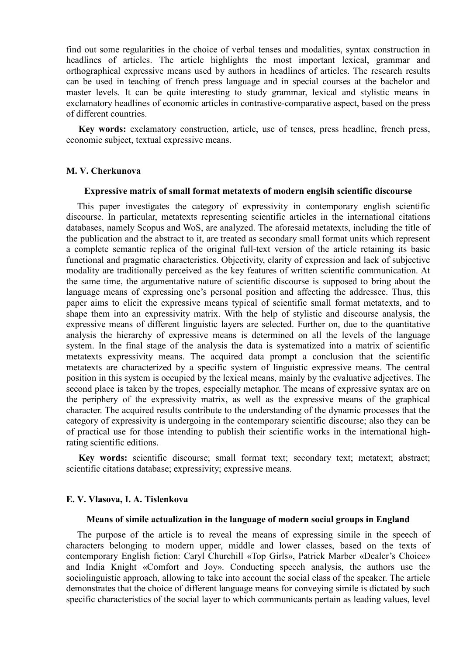find out some regularities in the choice of verbal tenses and modalities, syntax construction in headlines of articles. The article highlights the most important lexical, grammar and orthographical expressive means used by authors in headlines of articles. The research results can be used in teaching of french press language and in special courses at the bachelor and master levels. It can be quite interesting to study grammar, lexical and stylistic means in exclamatory headlines of economic articles in contrastive-comparative aspect, based on the press of different countries.

**Key words:** exclamatory construction, article, use of tenses, press headline, french press, economic subject, textual expressive means.

# **M. V. Cherkunova**

# **Expressive matrix of small format metatexts of modern englsih scientific discourse**

This paper investigates the category of expressivity in contemporary english scientific discourse. In particular, metatexts representing scientific articles in the international citations databases, namely Scopus and WoS, are analyzed. The aforesaid metatexts, including the title of the publication and the abstract to it, are treated as secondary small format units which represent a complete semantic replica of the original full-text version of the article retaining its basic functional and pragmatic characteristics. Objectivity, clarity of expression and lack of subjective modality are traditionally perceived as the key features of written scientific communication. At the same time, the argumentative nature of scientific discourse is supposed to bring about the language means of expressing one's personal position and affecting the addressee. Thus, this paper aims to elicit the expressive means typical of scientific small format metatexts, and to shape them into an expressivity matrix. With the help of stylistic and discourse analysis, the expressive means of different linguistic layers are selected. Further on, due to the quantitative analysis the hierarchy of expressive means is determined on all the levels of the language system. In the final stage of the analysis the data is systematized into a matrix of scientific metatexts expressivity means. The acquired data prompt a conclusion that the scientific metatexts are characterized by a specific system of linguistic expressive means. The central position in this system is occupied by the lexical means, mainly by the evaluative adjectives. The second place is taken by the tropes, especially metaphor. The means of expressive syntax are on the periphery of the expressivity matrix, as well as the expressive means of the graphical character. The acquired results contribute to the understanding of the dynamic processes that the category of expressivity is undergoing in the contemporary scientific discourse; also they can be of practical use for those intending to publish their scientific works in the international highrating scientific editions.

**Key words:** scientific discourse; small format text; secondary text; metatext; abstract; scientific citations database; expressivity; expressive means.

# **E. V. Vlasova, I. A. Tislenkova**

#### **Means of simile actualization in the language of modern social groups in England**

The purpose of the article is to reveal the means of expressing simile in the speech of characters belonging to modern upper, middle and lower classes, based on the texts of contemporary English fiction: Caryl Churchill «Top Girls», Patrick Marber «Dealer's Choice» and India Knight «Comfort and Joy». Conducting speech analysis, the authors use the sociolinguistic approach, allowing to take into account the social class of the speaker. The article demonstrates that the choice of different language means for conveying simile is dictated by such specific characteristics of the social layer to which communicants pertain as leading values, level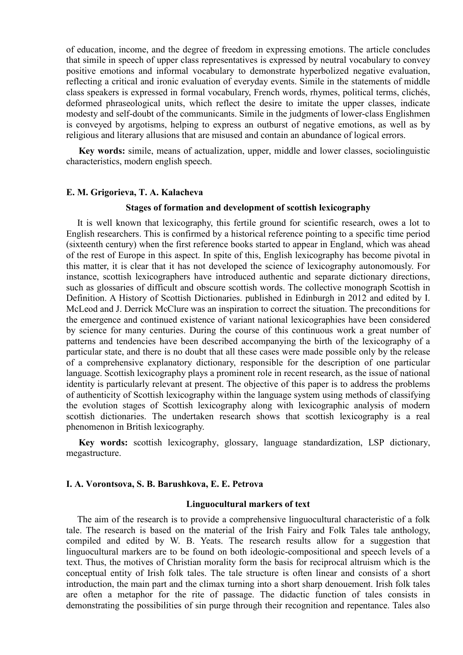of education, income, and the degree of freedom in expressing emotions. The article concludes that simile in speech of upper class representatives is expressed by neutral vocabulary to convey positive emotions and informal vocabulary to demonstrate hyperbolized negative evaluation, reflecting a critical and ironic evaluation of everyday events. Simile in the statements of middle class speakers is expressed in formal vocabulary, French words, rhymes, political terms, clichés, deformed phraseological units, which reflect the desire to imitate the upper classes, indicate modesty and self-doubt of the communicants. Simile in the judgments of lower-class Englishmen is conveyed by argotisms, helping to express an outburst of negative emotions, as well as by religious and literary allusions that are misused and contain an abundance of logical errors.

**Key words:** simile, means of actualization, upper, middle and lower classes, sociolinguistic characteristics, modern english speech.

#### **E. M. Grigorieva, T. A. Kalacheva**

#### **Stages of formation and development of scottish lexicography**

It is well known that lexicography, this fertile ground for scientific research, owes a lot to English researchers. This is confirmed by a historical reference pointing to a specific time period (sixteenth century) when the first reference books started to appear in England, which was ahead of the rest of Europe in this aspect. In spite of this, English lexicography has become pivotal in this matter, it is clear that it has not developed the science of lexicography autonomously. For instance, scottish lexicographers have introduced authentic and separate dictionary directions, such as glossaries of difficult and obscure scottish words. The collective monograph Scottish in Definition. A History of Scottish Dictionaries. published in Edinburgh in 2012 and edited by I. McLeod and J. Derrick McClure was an inspiration to correct the situation. The preconditions for the emergence and continued existence of variant national lexicographies have been considered by science for many centuries. During the course of this continuous work a great number of patterns and tendencies have been described accompanying the birth of the lexicography of a particular state, and there is no doubt that all these cases were made possible only by the release of a comprehensive explanatory dictionary, responsible for the description of one particular language. Scottish lexicography plays a prominent role in recent research, as the issue of national identity is particularly relevant at present. The objective of this paper is to address the problems of authenticity of Scottish lexicography within the language system using methods of classifying the evolution stages of Scottish lexicography along with lexicographic analysis of modern scottish dictionaries. The undertaken research shows that scottish lexicography is a real phenomenon in British lexicography.

**Key words:** scottish lexicography, glossary, language standardization, LSP dictionary, megastructure.

### **I. A. Vorontsova, S. B. Barushkova, E. Е. Petrova**

# **Linguocultural markers of text**

The aim of the research is to provide a comprehensive linguocultural characteristic of a folk tale. The research is based on the material of the Irish Fairy and Folk Tales tale anthology, compiled and edited by W. B. Yeats. The research results allow for a suggestion that linguocultural markers are to be found on both ideologic-compositional and speech levels of a text. Thus, the motives of Christian morality form the basis for reciprocal altruism which is the conceptual entity of Irish folk tales. The tale structure is often linear and consists of a short introduction, the main part and the climax turning into a short sharp denouement. Irish folk tales are often a metaphor for the rite of passage. The didactic function of tales consists in demonstrating the possibilities of sin purge through their recognition and repentance. Tales also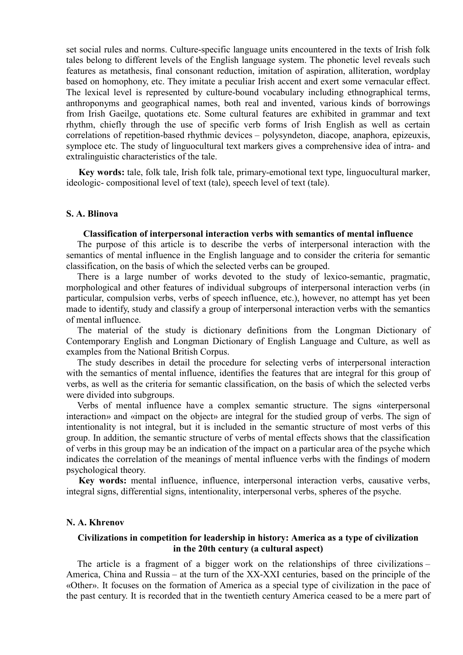set social rules and norms. Culture-specific language units encountered in the texts of Irish folk tales belong to different levels of the English language system. The phonetic level reveals such features as metathesis, final consonant reduction, imitation of aspiration, alliteration, wordplay based on homophony, etc. They imitate a peculiar Irish accent and exert some vernacular effect. The lexical level is represented by culture-bound vocabulary including ethnographical terms, anthroponyms and geographical names, both real and invented, various kinds of borrowings from Irish Gaeilge, quotations etc. Some cultural features are exhibited in grammar and text rhythm, chiefly through the use of specific verb forms of Irish English as well as certain correlations of repetition-based rhythmic devices – polysyndeton, diacope, anaphora, epizeuxis, symploce etc. The study of linguocultural text markers gives a comprehensive idea of intra- and extralinguistic characteristics of the tale.

**Key words:** tale, folk tale, Irish folk tale, primary-emotional text type, linguocultural marker, ideologic- compositional level of text (tale), speech level of text (tale).

# **S. A. Blinova**

# **Classification of interpersonal interaction verbs with semantics of mental influence**

The purpose of this article is to describe the verbs of interpersonal interaction with the semantics of mental influence in the English language and to consider the criteria for semantic classification, on the basis of which the selected verbs can be grouped.

There is a large number of works devoted to the study of lexico-semantic, pragmatic, morphological and other features of individual subgroups of interpersonal interaction verbs (in particular, compulsion verbs, verbs of speech influence, etc.), however, no attempt has yet been made to identify, study and classify a group of interpersonal interaction verbs with the semantics of mental influence.

The material of the study is dictionary definitions from the Longman Dictionary of Contemporary English and Longman Dictionary of English Language and Culture, as well as examples from the National British Corpus.

The study describes in detail the procedure for selecting verbs of interpersonal interaction with the semantics of mental influence, identifies the features that are integral for this group of verbs, as well as the criteria for semantic classification, on the basis of which the selected verbs were divided into subgroups.

Verbs of mental influence have a complex semantic structure. The signs «interpersonal interaction» and «impact on the object» are integral for the studied group of verbs. The sign of intentionality is not integral, but it is included in the semantic structure of most verbs of this group. In addition, the semantic structure of verbs of mental effects shows that the classification of verbs in this group may be an indication of the impact on a particular area of the psyche which indicates the correlation of the meanings of mental influence verbs with the findings of modern psychological theory.

**Key words:** mental influence, influence, interpersonal interaction verbs, causative verbs, integral signs, differential signs, intentionality, interpersonal verbs, spheres of the psyche.

#### **N. A. Khrenov**

# **Civilizations in competition for leadership in history: America as a type of civilization in the 20th century (a cultural aspect)**

The article is a fragment of a bigger work on the relationships of three civilizations – America, China and Russia – at the turn of the XX-XXI centuries, based on the principle of the «Other». It focuses on the formation of America as a special type of civilization in the pace of the past century. It is recorded that in the twentieth century America ceased to be a mere part of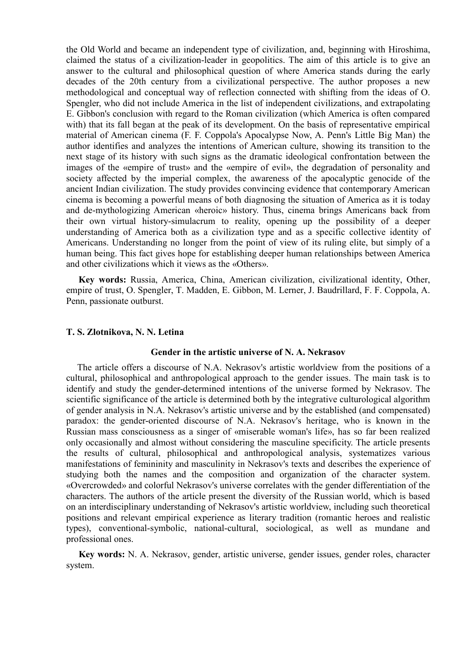the Old World and became an independent type of civilization, and, beginning with Hiroshima, claimed the status of a civilization-leader in geopolitics. The aim of this article is to give an answer to the cultural and philosophical question of where America stands during the early decades of the 20th century from a civilizational perspective. The author proposes a new methodological and conceptual way of reflection connected with shifting from the ideas of O. Spengler, who did not include America in the list of independent civilizations, and extrapolating E. Gibbon's conclusion with regard to the Roman civilization (which America is often compared with) that its fall began at the peak of its development. On the basis of representative empirical material of American cinema (F. F. Coppola's Apocalypse Now, A. Penn's Little Big Man) the author identifies and analyzes the intentions of American culture, showing its transition to the next stage of its history with such signs as the dramatic ideological confrontation between the images of the «empire of trust» and the «empire of evil», the degradation of personality and society affected by the imperial complex, the awareness of the apocalyptic genocide of the ancient Indian civilization. The study provides convincing evidence that contemporary American cinema is becoming a powerful means of both diagnosing the situation of America as it is today and de-mythologizing American «heroic» history. Thus, cinema brings Americans back from their own virtual history-simulacrum to reality, opening up the possibility of a deeper understanding of America both as a civilization type and as a specific collective identity of Americans. Understanding no longer from the point of view of its ruling elite, but simply of a human being. This fact gives hope for establishing deeper human relationships between America and other civilizations which it views as the «Others».

**Key words:** Russia, America, China, American civilization, civilizational identity, Other, empire of trust, O. Spengler, T. Madden, E. Gibbon, M. Lerner, J. Baudrillard, F. F. Coppola, A. Penn, passionate outburst.

# **T. S. Zlotnikova, N. N. Letina**

#### **Gender in the artistic universe of N. A. Nekrasov**

The article offers a discourse of N.A. Nekrasov's artistic worldview from the positions of a cultural, philosophical and anthropological approach to the gender issues. The main task is to identify and study the gender-determined intentions of the universe formed by Nekrasov. The scientific significance of the article is determined both by the integrative culturological algorithm of gender analysis in N.A. Nekrasov's artistic universe and by the established (and compensated) paradox: the gender-oriented discourse of N.A. Nekrasov's heritage, who is known in the Russian mass consciousness as a singer of «miserable woman's life», has so far been realized only occasionally and almost without considering the masculine specificity. The article presents the results of cultural, philosophical and anthropological analysis, systematizes various manifestations of femininity and masculinity in Nekrasov's texts and describes the experience of studying both the names and the composition and organization of the character system. «Overcrowded» and colorful Nekrasov's universe correlates with the gender differentiation of the characters. The authors of the article present the diversity of the Russian world, which is based on an interdisciplinary understanding of Nekrasov's artistic worldview, including such theoretical positions and relevant empirical experience as literary tradition (romantic heroes and realistic types), conventional-symbolic, national-cultural, sociological, as well as mundane and professional ones.

**Key words:** N. A. Nekrasov, gender, artistic universe, gender issues, gender roles, character system.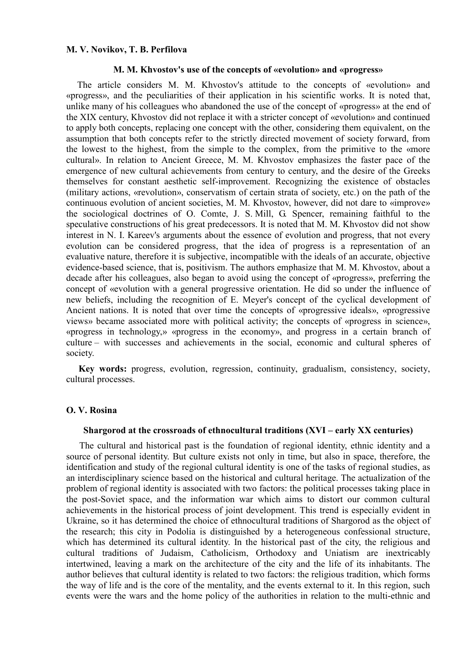# **M. V. Novikov, T. B. Perfilova**

#### **M. M. Khvostov's use of the concepts of «evolution» and «progress»**

The article considers M. M. Khvostov's attitude to the concepts of «evolution» and «progress», and the peculiarities of their application in his scientific works. It is noted that, unlike many of his colleagues who abandoned the use of the concept of «progress» at the end of the XIX century, Khvostov did not replace it with a stricter concept of «evolution» and continued to apply both concepts, replacing one concept with the other, considering them equivalent, on the assumption that both concepts refer to the strictly directed movement of society forward, from the lowest to the highest, from the simple to the complex, from the primitive to the «more cultural». In relation to Ancient Greece, M. M. Khvostov emphasizes the faster pace of the emergence of new cultural achievements from century to century, and the desire of the Greeks themselves for constant aesthetic self-improvement. Recognizing the existence of obstacles (military actions, «revolution», conservatism of certain strata of society, etc.) on the path of the continuous evolution of ancient societies, M. M. Khvostov, however, did not dare to «improve» the sociological doctrines of O. Comte, J. S. Mill, G. Spencer, remaining faithful to the speculative constructions of his great predecessors. It is noted that M. M. Khvostov did not show interest in N. I. Kareev's arguments about the essence of evolution and progress, that not every evolution can be considered progress, that the idea of progress is a representation of an evaluative nature, therefore it is subjective, incompatible with the ideals of an accurate, objective evidence-based science, that is, positivism. The authors emphasize that M. M. Khvostov, about a decade after his colleagues, also began to avoid using the concept of «progress», preferring the concept of «evolution with a general progressive orientation. He did so under the influence of new beliefs, including the recognition of E. Meyer's concept of the cyclical development of Ancient nations. It is noted that over time the concepts of «progressive ideals», «progressive views» became associated more with political activity; the concepts of «progress in science», «progress in technology,» «progress in the economy», and progress in a certain branch of culture – with successes and achievements in the social, economic and cultural spheres of society.

**Key words:** progress, evolution, regression, continuity, gradualism, consistency, society, cultural processes.

# **O. V. Rosina**

# **Shargorod at the crossroads of ethnocultural traditions (XVI – early XX centuries)**

 The cultural and historical past is the foundation of regional identity, ethnic identity and a source of personal identity. But culture exists not only in time, but also in space, therefore, the identification and study of the regional cultural identity is one of the tasks of regional studies, as an interdisciplinary science based on the historical and cultural heritage. The actualization of the problem of regional identity is associated with two factors: the political processes taking place in the post-Soviet space, and the information war which aims to distort our common cultural achievements in the historical process of joint development. This trend is especially evident in Ukraine, so it has determined the choice of ethnocultural traditions of Shargorod as the object of the research; this city in Podolia is distinguished by a heterogeneous confessional structure, which has determined its cultural identity. In the historical past of the city, the religious and cultural traditions of Judaism, Catholicism, Orthodoxy and Uniatism are inextricably intertwined, leaving a mark on the architecture of the city and the life of its inhabitants. The author believes that cultural identity is related to two factors: the religious tradition, which forms the way of life and is the core of the mentality, and the events external to it. In this region, such events were the wars and the home policy of the authorities in relation to the multi-ethnic and